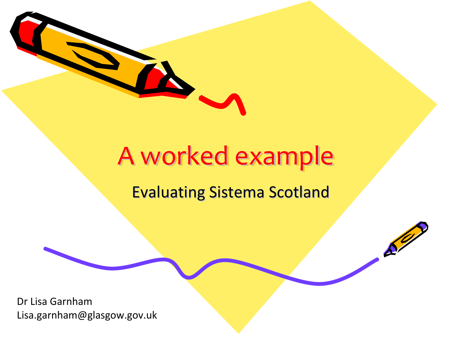

# A worked example

#### **Evaluating Sistema Scotland**

 $\mathcal{L}^2$ 

Dr Lisa GarnhamLisa.garnham@glasgow.gov.uk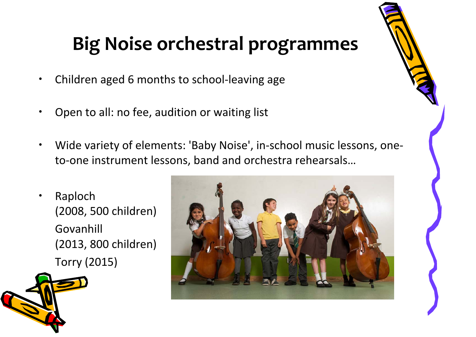### **Big Noise orchestral programmes**

- •Children aged 6 months to school‐leaving age
- •Open to all: no fee, audition or waiting list
- • Wide variety of elements: 'Baby Noise', in‐school music lessons, one‐ to‐one instrument lessons, band and orchestra rehearsals…
- • Raploch (2008, 500 children) Govanhill (2013, 800 children) Torry (2015)



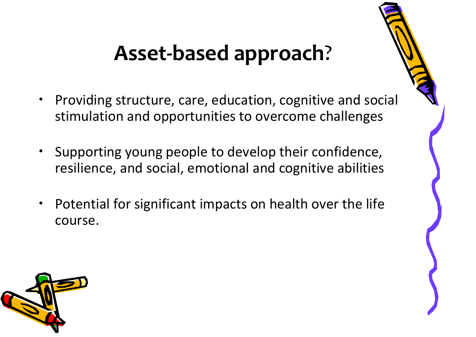### **Asset‐based approach**?

- • Providing structure, care, education, cognitive and social stimulation and opportunities to overcome challenges
- $\bullet$  Supporting young people to develop their confidence, resilience, and social, emotional and cognitive abilities
- • Potential for significant impacts on health over the life course.

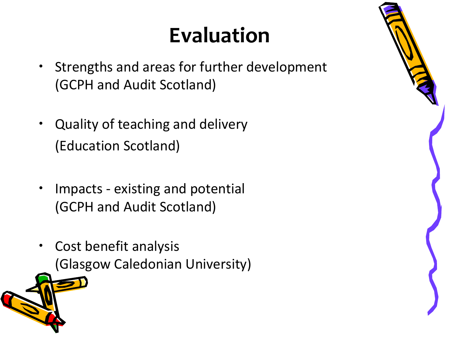# **Evaluation**

- $\bullet$  Strengths and areas for further development (GCPH and Audit Scotland)
- $\bullet$  Quality of teaching and delivery (Education Scotland)
- • Impacts ‐ existing and potential (GCPH and Audit Scotland)
- • Cost benefit analysis (Glasgow Caledonian University)



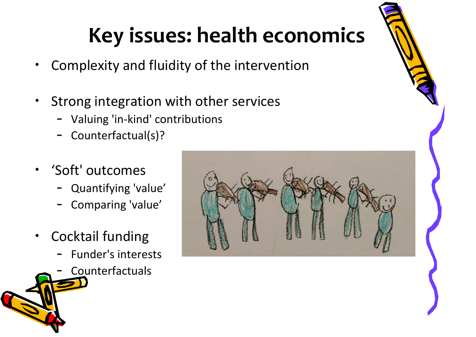# **Key issues: health economics**

- •Complexity and fluidity of the intervention
- • Strong integration with other services
	- Valuing 'in‐kind' contributions
	- Counterfactual(s)?
- • 'Soft' outcomes
	- Quantifying 'value'
	- Comparing 'value'
- • Cocktail funding
	- –Funder's interests
	- –Counterfactuals

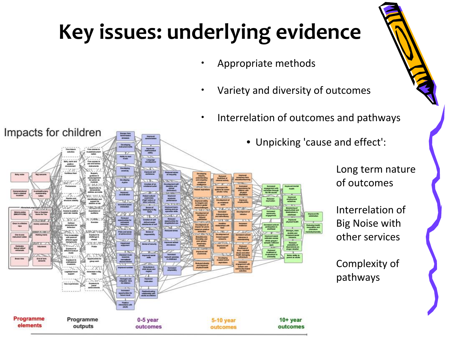# **Key issues: underlying evidence**

- •Appropriate methods
- •Variety and diversity of outcomes
- **•** Interrelation of outcomes and pathways
	- Unpicking 'cause and effect':

Long term nature of outcomes

Interrelation of Big Noise with other services

Complexity of pathways